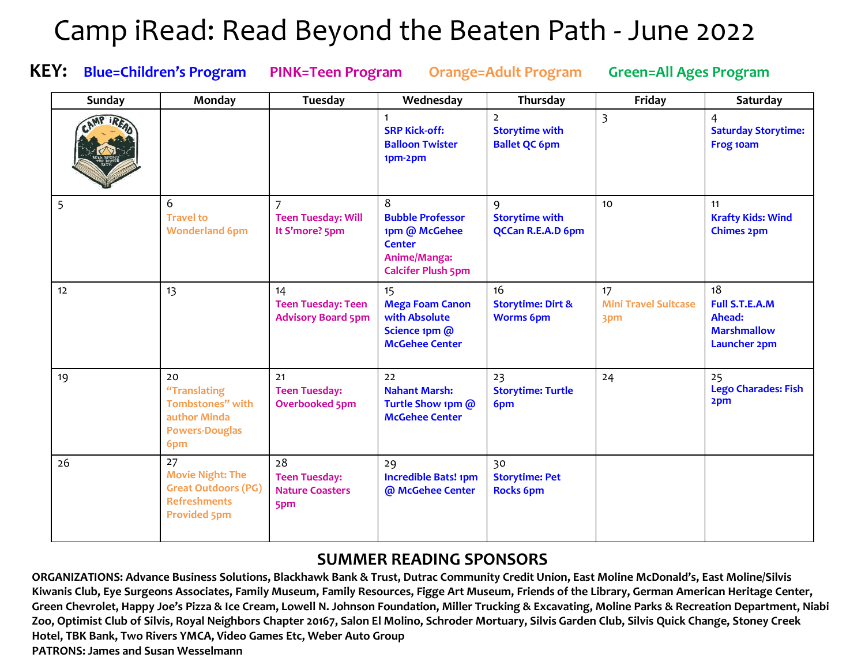## Camp iRead: Read Beyond the Beaten Path - June 2022

**KEY: Blue=Children's Program PINK=Teen Program Orange=Adult Program Green=All Ages Program**

| Sunday | Monday                                                                                                    | Tuesday                                                       | Wednesday                                                                                                   | Thursday                                                        | Friday                                   | Saturday                                                                           |
|--------|-----------------------------------------------------------------------------------------------------------|---------------------------------------------------------------|-------------------------------------------------------------------------------------------------------------|-----------------------------------------------------------------|------------------------------------------|------------------------------------------------------------------------------------|
|        |                                                                                                           |                                                               | <b>SRP Kick-off:</b><br><b>Balloon Twister</b><br>1pm-2pm                                                   | $\overline{2}$<br><b>Storytime with</b><br><b>Ballet QC 6pm</b> | $\overline{3}$                           | $\overline{4}$<br><b>Saturday Storytime:</b><br>Frog 10am                          |
| 5      | 6<br><b>Travel to</b><br><b>Wonderland 6pm</b>                                                            | $\overline{7}$<br><b>Teen Tuesday: Will</b><br>It S'more? 5pm | 8<br><b>Bubble Professor</b><br>1pm @ McGehee<br><b>Center</b><br>Anime/Manga:<br><b>Calcifer Plush 5pm</b> | 9<br><b>Storytime with</b><br>QCCan R.E.A.D 6pm                 | 10                                       | 11<br><b>Krafty Kids: Wind</b><br><b>Chimes 2pm</b>                                |
| 12     | 13                                                                                                        | 14<br><b>Teen Tuesday: Teen</b><br><b>Advisory Board 5pm</b>  | 15<br><b>Mega Foam Canon</b><br>with Absolute<br>Science 1pm @<br><b>McGehee Center</b>                     | 16<br><b>Storytime: Dirt &amp;</b><br><b>Worms 6pm</b>          | 17<br><b>Mini Travel Suitcase</b><br>3pm | 18<br><b>Full S.T.E.A.M</b><br>Ahead:<br><b>Marshmallow</b><br><b>Launcher 2pm</b> |
| 19     | 20<br>"Translating<br>Tombstones" with<br>author Minda<br><b>Powers-Douglas</b><br>6pm                    | 21<br><b>Teen Tuesday:</b><br><b>Overbooked 5pm</b>           | 22<br><b>Nahant Marsh:</b><br>Turtle Show 1pm @<br><b>McGehee Center</b>                                    | 23<br><b>Storytime: Turtle</b><br>6pm                           | 24                                       | 25<br><b>Lego Charades: Fish</b><br>2pm                                            |
| 26     | 27<br><b>Movie Night: The</b><br><b>Great Outdoors (PG)</b><br><b>Refreshments</b><br><b>Provided 5pm</b> | 28<br><b>Teen Tuesday:</b><br><b>Nature Coasters</b><br>5pm   | 29<br><b>Incredible Bats! 1pm</b><br>@ McGehee Center                                                       | 30<br><b>Storytime: Pet</b><br><b>Rocks 6pm</b>                 |                                          |                                                                                    |

## **SUMMER READING SPONSORS**

**ORGANIZATIONS: Advance Business Solutions, Blackhawk Bank & Trust, Dutrac Community Credit Union, East Moline McDonald's, East Moline/Silvis Kiwanis Club, Eye Surgeons Associates, Family Museum, Family Resources, Figge Art Museum, Friends of the Library, German American Heritage Center, Green Chevrolet, Happy Joe's Pizza & Ice Cream, Lowell N. Johnson Foundation, Miller Trucking & Excavating, Moline Parks & Recreation Department, Niabi Zoo, Optimist Club of Silvis, Royal Neighbors Chapter 20167, Salon El Molino, Schroder Mortuary, Silvis Garden Club, Silvis Quick Change, Stoney Creek Hotel, TBK Bank, Two Rivers YMCA, Video Games Etc, Weber Auto Group PATRONS: James and Susan Wesselmann**